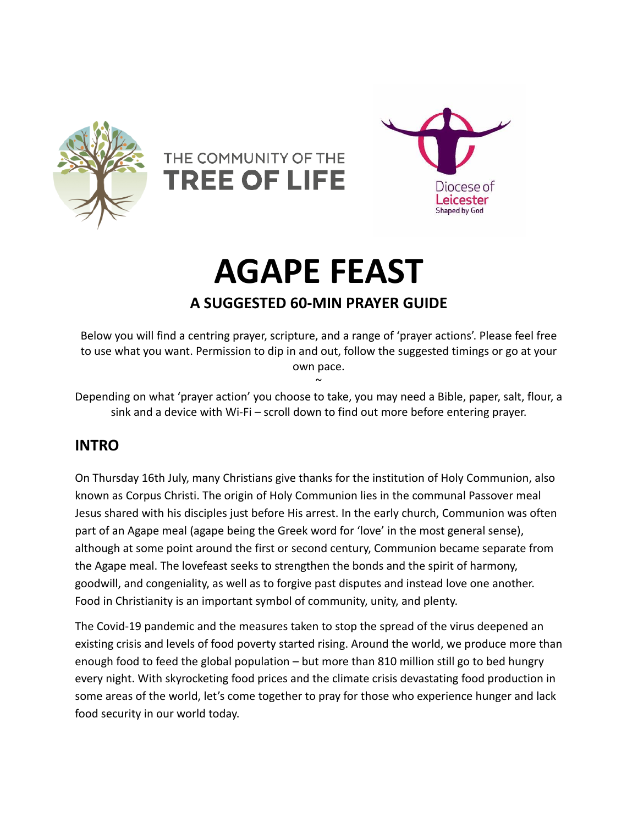





# **AGAPE FEAST**

# **A SUGGESTED 60-MIN PRAYER GUIDE**

Below you will find a centring prayer, scripture, and a range of 'prayer actions'. Please feel free to use what you want. Permission to dip in and out, follow the suggested timings or go at your own pace.  $\sim$ 

Depending on what 'prayer action' you choose to take, you may need a Bible, paper, salt, flour, a sink and a device with Wi-Fi – scroll down to find out more before entering prayer.

# **INTRO**

On Thursday 16th July, many Christians give thanks for the institution of Holy Communion, also known as Corpus Christi. The origin of Holy Communion lies in the communal Passover meal Jesus shared with his disciples just before His arrest. In the early church, Communion was often part of an Agape meal (agape being the Greek word for 'love' in the most general sense), although at some point around the first or second century, Communion became separate from the Agape meal. The lovefeast seeks to strengthen the bonds and the spirit of harmony, goodwill, and congeniality, as well as to forgive past disputes and instead love one another. Food in Christianity is an important symbol of community, unity, and plenty.

The Covid-19 pandemic and the measures taken to stop the spread of the virus deepened an existing crisis and levels of food poverty started rising. Around the world, we produce more than enough food to feed the global population – but more than 810 million still go to bed hungry every night. With skyrocketing food prices and the climate crisis devastating food production in some areas of the world, let's come together to pray for those who experience hunger and lack food security in our world today.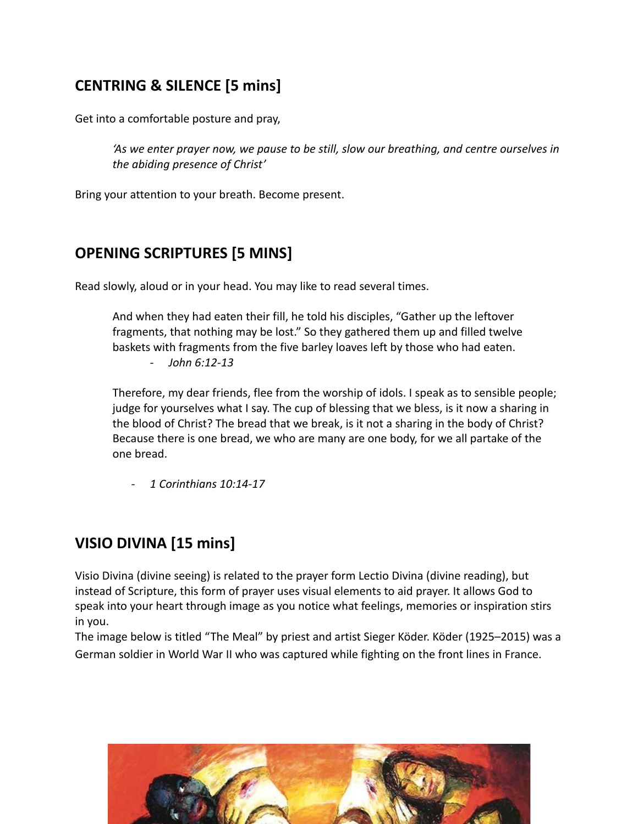# **CENTRING & SILENCE [5 mins]**

Get into a comfortable posture and pray,

*'As we enter prayer now, we pause to be still, slow our breathing, and centre ourselves in the abiding presence of Christ'*

Bring your attention to your breath. Become present.

## **OPENING SCRIPTURES [5 MINS]**

Read slowly, aloud or in your head. You may like to read several times.

And when they had eaten their fill, he told his disciples, "Gather up the leftover fragments, that nothing may be lost." So they gathered them up and filled twelve baskets with fragments from the five barley loaves left by those who had eaten.

*- John 6:12-13*

Therefore, my dear friends, flee from the worship of idols. I speak as to sensible people; judge for yourselves what I say. The cup of blessing that we bless, is it now a sharing in the blood of Christ? The bread that we break, is it not a sharing in the body of Christ? Because there is one bread, we who are many are one body, for we all partake of the one bread.

*- 1 Corinthians 10:14-17*

## **VISIO DIVINA [15 mins]**

Visio Divina (divine seeing) is related to the prayer form Lectio Divina (divine reading), but instead of Scripture, this form of prayer uses visual elements to aid prayer. It allows God to speak into your heart through image as you notice what feelings, memories or inspiration stirs in you.

The image below is titled "The Meal" by priest and artist Sieger Köder. Köder (1925–2015) was a German soldier in World War II who was captured while fighting on the front lines in France.

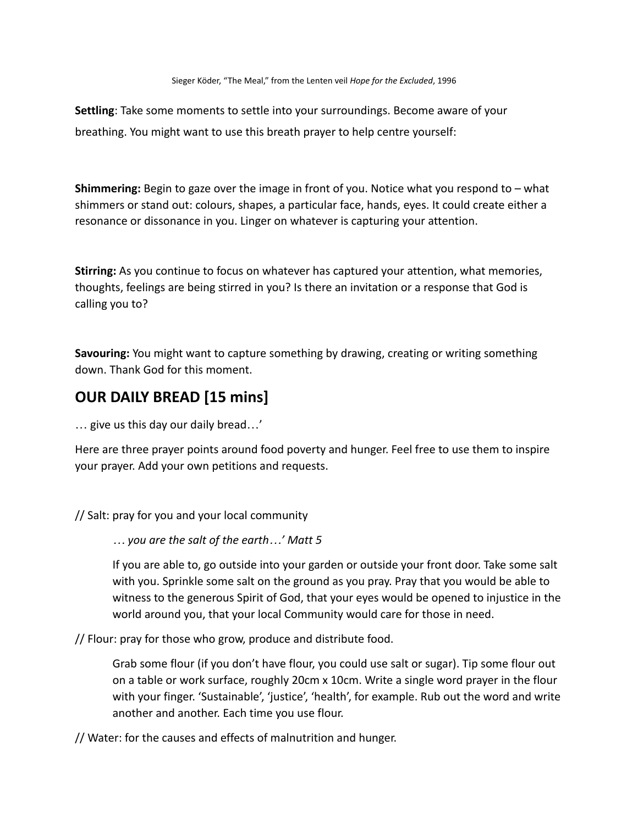**Settling**: Take some moments to settle into your surroundings. Become aware of your breathing. You might want to use this breath prayer to help centre yourself:

**Shimmering:** Begin to gaze over the image in front of you. Notice what you respond to – what shimmers or stand out: colours, shapes, a particular face, hands, eyes. It could create either a resonance or dissonance in you. Linger on whatever is capturing your attention.

**Stirring:** As you continue to focus on whatever has captured your attention, what memories, thoughts, feelings are being stirred in you? Is there an invitation or a response that God is calling you to?

**Savouring:** You might want to capture something by drawing, creating or writing something down. Thank God for this moment.

## **OUR DAILY BREAD [15 mins]**

… give us this day our daily bread…'

Here are three prayer points around food poverty and hunger. Feel free to use them to inspire your prayer. Add your own petitions and requests.

// Salt: pray for you and your local community

*… you are the salt of the earth…' Matt 5*

If you are able to, go outside into your garden or outside your front door. Take some salt with you. Sprinkle some salt on the ground as you pray. Pray that you would be able to witness to the generous Spirit of God, that your eyes would be opened to injustice in the world around you, that your local Community would care for those in need.

// Flour: pray for those who grow, produce and distribute food.

Grab some flour (if you don't have flour, you could use salt or sugar). Tip some flour out on a table or work surface, roughly 20cm x 10cm. Write a single word prayer in the flour with your finger. 'Sustainable', 'justice', 'health', for example. Rub out the word and write another and another. Each time you use flour.

// Water: for the causes and effects of malnutrition and hunger.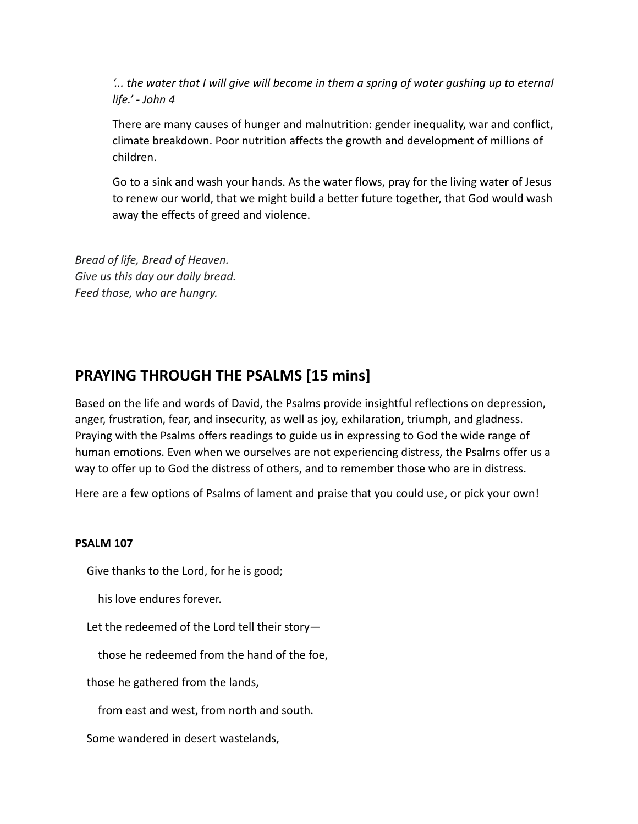*'... the water that I will give will become in them a spring of water gushing up to eternal life.' - John 4*

There are many causes of hunger and malnutrition: gender inequality, war and conflict, climate breakdown. Poor nutrition affects the growth and development of millions of children.

Go to a sink and wash your hands. As the water flows, pray for the living water of Jesus to renew our world, that we might build a better future together, that God would wash away the effects of greed and violence.

*Bread of life, Bread of Heaven. Give us this day our daily bread. Feed those, who are hungry.*

## **PRAYING THROUGH THE PSALMS [15 mins]**

Based on the life and words of David, the Psalms provide insightful reflections on depression, anger, frustration, fear, and insecurity, as well as joy, exhilaration, triumph, and gladness. Praying with the Psalms offers readings to guide us in expressing to God the wide range of human emotions. Even when we ourselves are not experiencing distress, the Psalms offer us a way to offer up to God the distress of others, and to remember those who are in distress.

Here are a few options of Psalms of lament and praise that you could use, or pick your own!

#### **PSALM 107**

Give thanks to the Lord, for he is good;

his love endures forever.

Let the redeemed of the Lord tell their story—

those he redeemed from the hand of the foe,

those he gathered from the lands,

from east and west, from north and south.

Some wandered in desert wastelands,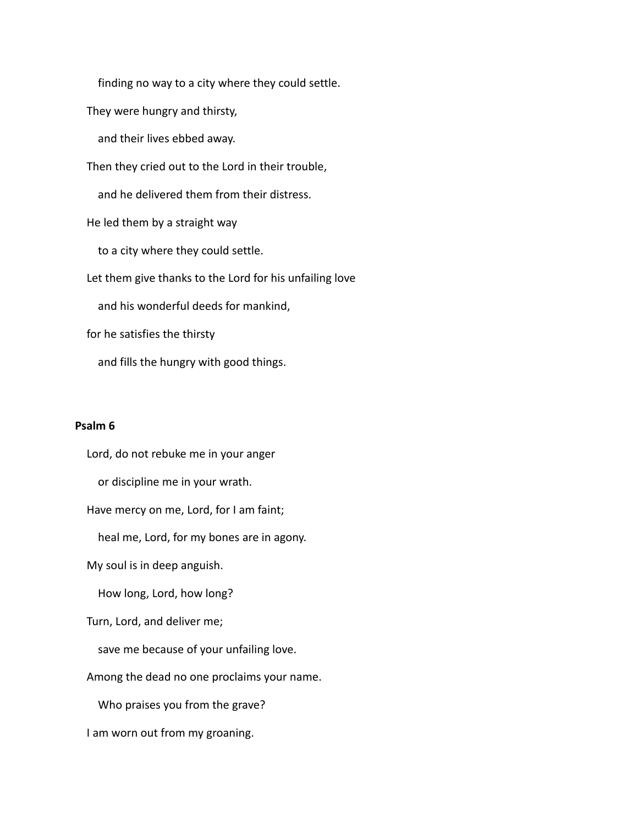finding no way to a city where they could settle.

They were hungry and thirsty,

and their lives ebbed away.

Then they cried out to the Lord in their trouble,

and he delivered them from their distress.

He led them by a straight way

to a city where they could settle.

Let them give thanks to the Lord for his unfailing love

and his wonderful deeds for mankind,

for he satisfies the thirsty

and fills the hungry with good things.

#### **Psalm 6**

Lord, do not rebuke me in your anger

or discipline me in your wrath.

Have mercy on me, Lord, for I am faint;

heal me, Lord, for my bones are in agony.

My soul is in deep anguish.

How long, Lord, how long?

Turn, Lord, and deliver me;

save me because of your unfailing love.

Among the dead no one proclaims your name.

Who praises you from the grave?

I am worn out from my groaning.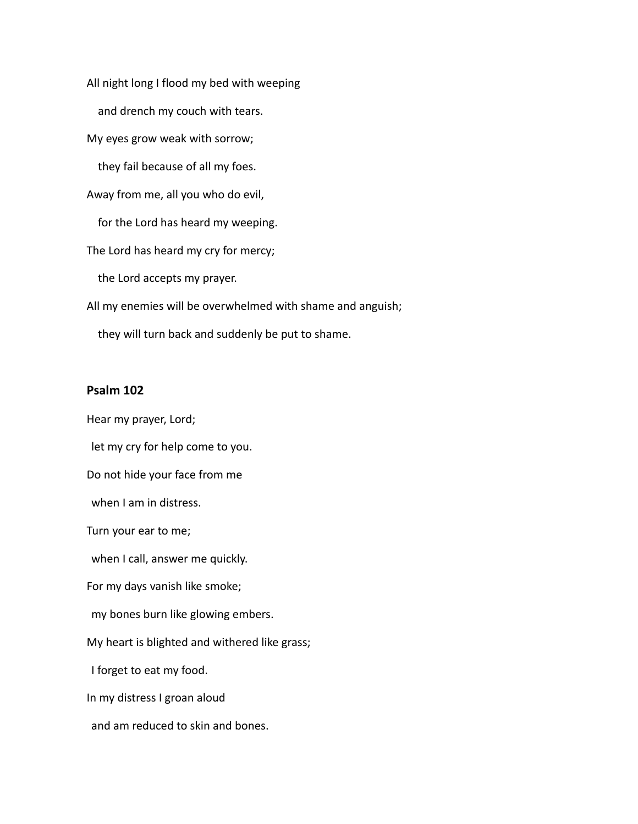All night long I flood my bed with weeping

and drench my couch with tears.

My eyes grow weak with sorrow;

they fail because of all my foes.

Away from me, all you who do evil,

for the Lord has heard my weeping.

The Lord has heard my cry for mercy;

the Lord accepts my prayer.

All my enemies will be overwhelmed with shame and anguish;

they will turn back and suddenly be put to shame.

#### **Psalm 102**

Hear my prayer, Lord; let my cry for help come to you. Do not hide your face from me when I am in distress. Turn your ear to me; when I call, answer me quickly. For my days vanish like smoke; my bones burn like glowing embers. My heart is blighted and withered like grass; I forget to eat my food. In my distress I groan aloud and am reduced to skin and bones.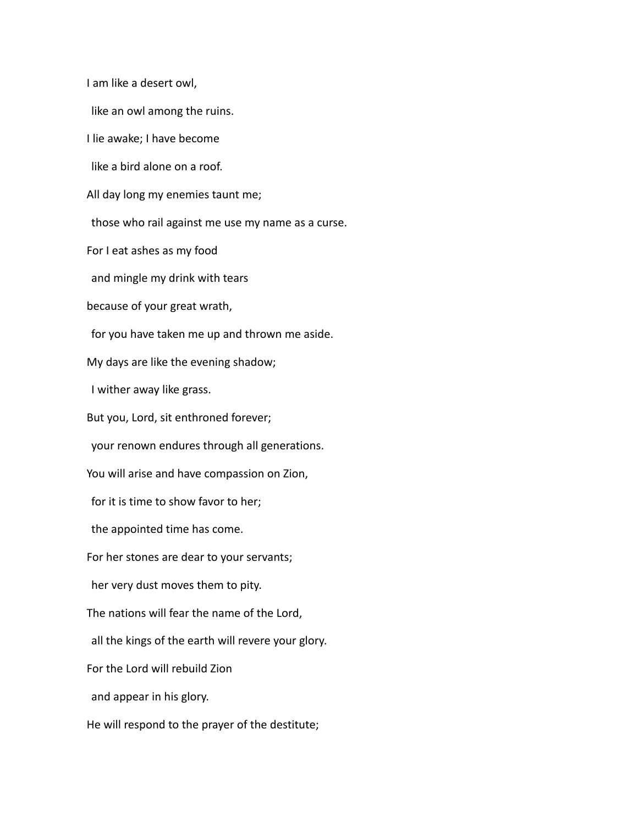I am like a desert owl,

like an owl among the ruins.

I lie awake; I have become

like a bird alone on a roof.

All day long my enemies taunt me;

those who rail against me use my name as a curse.

For I eat ashes as my food

and mingle my drink with tears

because of your great wrath,

for you have taken me up and thrown me aside.

My days are like the evening shadow;

I wither away like grass.

But you, Lord, sit enthroned forever;

your renown endures through all generations.

You will arise and have compassion on Zion,

for it is time to show favor to her;

the appointed time has come.

For her stones are dear to your servants;

her very dust moves them to pity.

The nations will fear the name of the Lord,

all the kings of the earth will revere your glory.

For the Lord will rebuild Zion

and appear in his glory.

He will respond to the prayer of the destitute;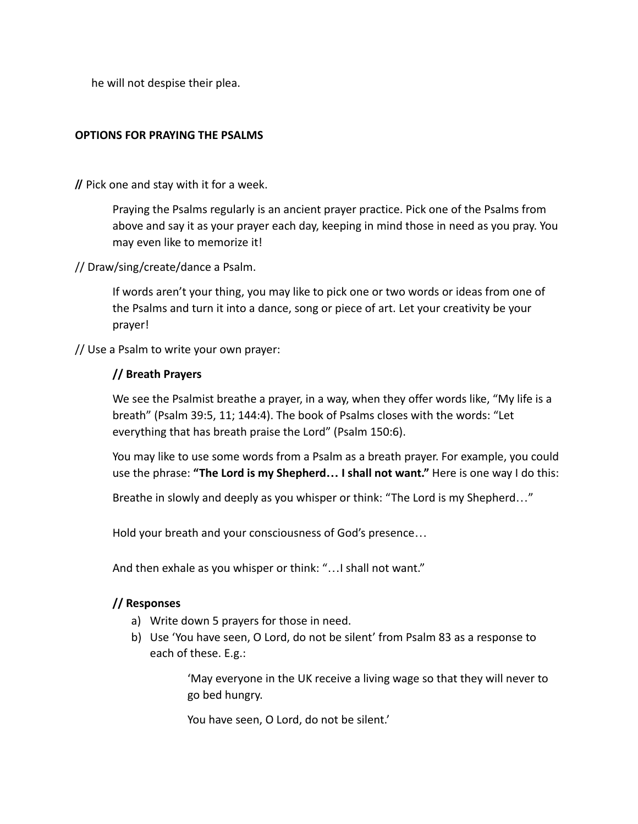he will not despise their plea.

#### **OPTIONS FOR PRAYING THE PSALMS**

**//** Pick one and stay with it for a week.

Praying the Psalms regularly is an ancient prayer practice. Pick one of the Psalms from above and say it as your prayer each day, keeping in mind those in need as you pray. You may even like to memorize it!

// Draw/sing/create/dance a Psalm.

If words aren't your thing, you may like to pick one or two words or ideas from one of the Psalms and turn it into a dance, song or piece of art. Let your creativity be your prayer!

// Use a Psalm to write your own prayer:

#### **// Breath Prayers**

We see the Psalmist breathe a prayer, in a way, when they offer words like, "My life is a breath" (Psalm 39:5, 11; 144:4). The book of Psalms closes with the words: "Let everything that has breath praise the Lord" (Psalm 150:6).

You may like to use some words from a Psalm as a breath prayer. For example, you could use the phrase: **"The Lord is my Shepherd… I shall not want."** Here is one way I do this:

Breathe in slowly and deeply as you whisper or think: "The Lord is my Shepherd…"

Hold your breath and your consciousness of God's presence…

And then exhale as you whisper or think: "…I shall not want."

#### **// Responses**

- a) Write down 5 prayers for those in need.
- b) Use 'You have seen, O Lord, do not be silent' from Psalm 83 as a response to each of these. E.g.:

'May everyone in the UK receive a living wage so that they will never to go bed hungry.

You have seen, O Lord, do not be silent.'